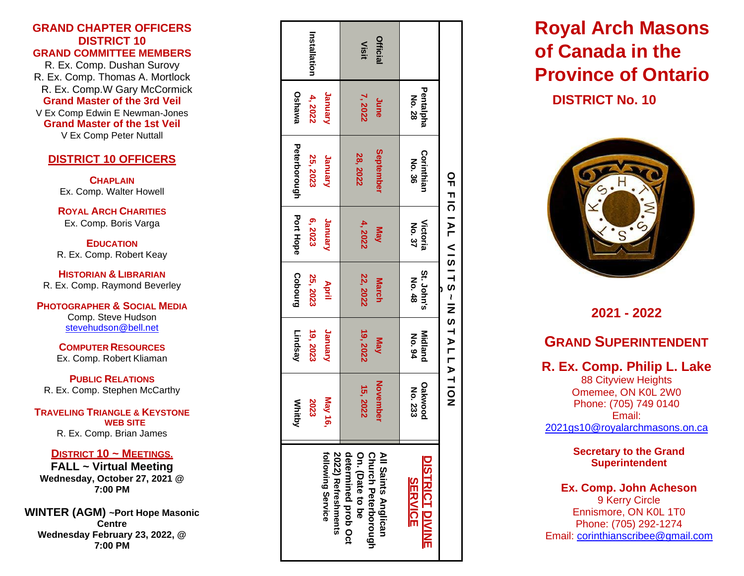#### **GRAND CHAPTER OFFICERS DISTRICT 10 GRAND COMMITTEE MEMBERS**

R. Ex. Comp. Dushan Surovy R. Ex. Comp. Thomas A. Mortlock R. Ex. Comp.W Gary McCormick **Grand Master of the 3rd Veil**

V Ex Comp Edwin E Newman -Jones **Grand Master of the 1st Veil** V Ex Comp Peter Nuttall

### **DISTRICT 10 OFFICERS**

**CHAPLAIN** Ex. Comp. Walter Howell

**ROYAL ARCH CHARITIES** Ex. Comp. Boris Varga

**EDUCATION** R. Ex. Comp. Robert Keay

**HISTORIAN & LIBRARIAN** R. Ex. Comp. Raymond Beverley

#### **PHOTOGRAPHER & SOCIAL MEDIA** Comp. Stev e Hudson stevehudson@bell.net

**COMPUTER RESOURCES** Ex. Comp. Robert Kliaman

**PUBLIC RELATIONS** R. Ex. Comp. Stephen McCarthy

#### **TRAVELING TRIANGLE & KEYSTONE WEB SITE** R. Ex. Comp. Brian James

#### **DISTRICT 10 ~ MEETINGS.**

**FALL ~ Virtual Meeting Wednesday, October 27, 2021 @ 7:00 PM**

**WINTER (AGM) ~ Port Hope Masonic Centre Wednesday February 23, 2022, @ 7 :00 PM**

|                                                   | <b>Whitby</b>             | Lindsay                  | Cobourg              | Port Hope                     | Peterborough         | Oshawa              |              |
|---------------------------------------------------|---------------------------|--------------------------|----------------------|-------------------------------|----------------------|---------------------|--------------|
|                                                   | 2023                      | 19, 2023                 | 25, 2023             | 6,2023                        | 25, 2023             | 4,2022              | Installation |
| following Service<br>2022) Refreshments           | May 16,                   | January                  | April                | Vanuary                       | Vanuary              | Vanuaty             |              |
| determined prob Oct<br>On. (Date to be            | 15, 2022                  | 19,2022                  | 22, 2022             | 4, 2022                       | 28, 2022             | 7,2022              | Visit        |
| <b>Church Peterborough</b><br>All Saints Anglican | <b>November</b>           | May                      | <b>March</b>         | Nay                           | September            | June                | Official     |
| <b>DISTRICT DIVINE</b><br><b>SERVICE</b>          | <b>Dakwood</b><br>No. 233 | <b>Midland</b><br>No. 94 | St. John's<br>No. 48 | <b>Victoria</b><br>No. 37     | Corinthian<br>No. 36 | Pentalpha<br>No. 28 |              |
|                                                   |                           |                          |                      | OFFICIAL VISTTS-IN STALLATION |                      |                     |              |

# **Royal Arch Masons of Canada in the Provinc e of Ontario**

**DISTRICT No. 10**



**20 2 1 - 202 2**

# **GRAND SUPERINTENDENT**

**R. Ex. Comp. Philip L . Lake** 88 Cityview Heights Omemee, ON K0L 2W0 Phone: ( 705) 749 0140 Email: [2021gs10@royalarchmasons.on.ca](mailto:2021gs10@royalarchmasons.on.ca)

> **Secretary to the Grand Superintenden t**

**Ex. Comp. John Acheson** 9 Kerry Circle Ennismore , ON K0L 1T0 Phone: (705) 292 -1274 Email: [corinthianscribee@gmail.com](mailto:corinthianscribee@gmail.com)